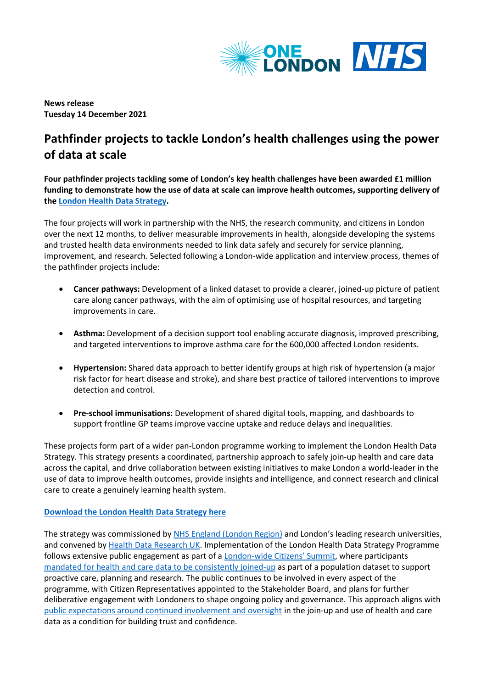

**News release Tuesday 14 December 2021**

# **Pathfinder projects to tackle London's health challenges using the power of data at scale**

**Four pathfinder projects tackling some of London's key health challenges have been awarded £1 million funding to demonstrate how the use of data at scale can improve health outcomes, supporting delivery of th[e London Health Data Strategy.](https://www.onelondon.online/wp-content/uploads/2021/12/London-Health-Data-Strategy.pdf)** 

The four projects will work in partnership with the NHS, the research community, and citizens in London over the next 12 months, to deliver measurable improvements in health, alongside developing the systems and trusted health data environments needed to link data safely and securely for service planning, improvement, and research. Selected following a London-wide application and interview process, themes of the pathfinder projects include:

- **Cancer pathways:** Development of a linked dataset to provide a clearer, joined-up picture of patient care along cancer pathways, with the aim of optimising use of hospital resources, and targeting improvements in care.
- **Asthma:** Development of a decision support tool enabling accurate diagnosis, improved prescribing, and targeted interventions to improve asthma care for the 600,000 affected London residents.
- **Hypertension:** Shared data approach to better identify groups at high risk of hypertension (a major risk factor for heart disease and stroke), and share best practice of tailored interventions to improve detection and control.
- **Pre-school immunisations:** Development of shared digital tools, mapping, and dashboards to support frontline GP teams improve vaccine uptake and reduce delays and inequalities.

These projects form part of a wider pan-London programme working to implement the London Health Data Strategy. This strategy presents a coordinated, partnership approach to safely join-up health and care data across the capital, and drive collaboration between existing initiatives to make London a world-leader in the use of data to improve health outcomes, provide insights and intelligence, and connect research and clinical care to create a genuinely learning health system.

# **[Download the London Health Data Strategy here](https://www.onelondon.online/wp-content/uploads/2021/12/London-Health-Data-Strategy.pdf)**

The strategy was commissioned by [NHS England \(London Region\)](https://www.england.nhs.uk/london/) and London's leading research universities, and convened b[y Health Data Research UK.](https://www.hdruk.ac.uk/) Implementation of the London Health Data Strategy Programme follows extensive public engagement as part of a London-[wide Citizens' Summit](https://onelondon.online/citizenssummit/), where participants [mandated for health and care data to be consistently joined-up](https://bit.ly/37k9Zsg) as part of a population dataset to support proactive care, planning and research. The public continues to be involved in every aspect of the programme, with Citizen Representatives appointed to the Stakeholder Board, and plans for further deliberative engagement with Londoners to shape ongoing policy and governance. This approach aligns with [public expectations around continued involvement and oversight](https://bit.ly/37k9Zsg) in the join-up and use of health and care data as a condition for building trust and confidence.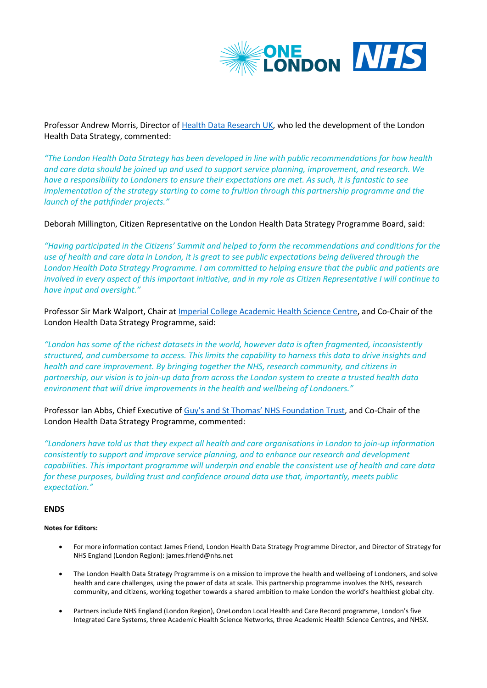

Professor Andrew Morris, Director of [Health Data Research UK,](https://www.hdruk.ac.uk/) who led the development of the London Health Data Strategy, commented:

*"The London Health Data Strategy has been developed in line with public recommendations for how health and care data should be joined up and used to support service planning, improvement, and research. We have a responsibility to Londoners to ensure their expectations are met. As such, it is fantastic to see implementation of the strategy starting to come to fruition through this partnership programme and the launch of the pathfinder projects."* 

Deborah Millington, Citizen Representative on the London Health Data Strategy Programme Board, said:

*"Having participated in the Citizens' Summit and helped to form the recommendations and conditions for the use of health and care data in London, it is great to see public expectations being delivered through the London Health Data Strategy Programme. I am committed to helping ensure that the public and patients are involved in every aspect of this important initiative, and in my role as Citizen Representative I will continue to have input and oversight."* 

Professor Sir Mark Walport, Chair at [Imperial College Academic Health Science Centre,](https://www.ahsc.org.uk/) and Co-Chair of the London Health Data Strategy Programme, said:

*"London has some of the richest datasets in the world, however data is often fragmented, inconsistently structured, and cumbersome to access. This limits the capability to harness this data to drive insights and health and care improvement. By bringing together the NHS, research community, and citizens in partnership, our vision is to join-up data from across the London system to create a trusted health data environment that will drive improvements in the health and wellbeing of Londoners."*

Professor Ian Abbs, Chief Executive of [Guy's and St Thomas' NHS Foundation Trust](https://www.guysandstthomas.nhs.uk/Home.aspx), and Co-Chair of the London Health Data Strategy Programme, commented:

*"Londoners have told us that they expect all health and care organisations in London to join-up information consistently to support and improve service planning, and to enhance our research and development capabilities. This important programme will underpin and enable the consistent use of health and care data for these purposes, building trust and confidence around data use that, importantly, meets public expectation."*

# **ENDS**

# **Notes for Editors:**

- For more information contact James Friend, London Health Data Strategy Programme Director, and Director of Strategy for NHS England (London Region): james.friend@nhs.net
- The London Health Data Strategy Programme is on a mission to improve the health and wellbeing of Londoners, and solve health and care challenges, using the power of data at scale. This partnership programme involves the NHS, research community, and citizens, working together towards a shared ambition to make London the world's healthiest global city.
- Partners include NHS England (London Region), OneLondon Local Health and Care Record programme, London's five Integrated Care Systems, three Academic Health Science Networks, three Academic Health Science Centres, and NHSX.